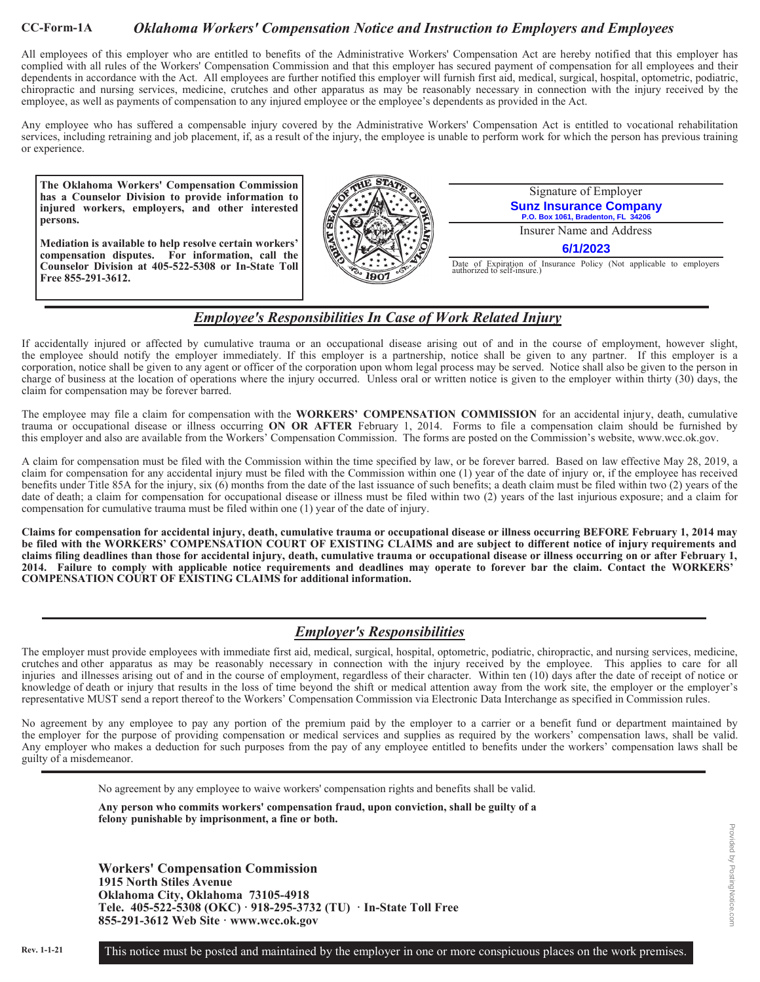#### **CC-Form-1A** *Oklahoma Workers' Compensation Notice and Instruction to Employers and Employees*

All employees of this employer who are entitled to benefits of the Administrative Workers' Compensation Act are hereby notified that this employer has complied with all rules of the Workers' Compensation Commission and that this employer has secured payment of compensation for all employees and their dependents in accordance with the Act. All employees are further notified this employer will furnish first aid, medical, surgical, hospital, optometric, podiatric, chiropractic and nursing services, medicine, crutches and other apparatus as may be reasonably necessary in connection with the injury received by the employee, as well as payments of compensation to any injured employee or the employee's dependents as provided in the Act.

Any employee who has suffered a compensable injury covered by the Administrative Workers' Compensation Act is entitled to vocational rehabilitation services, including retraining and job placement, if, as a result of the injury, the employee is unable to perform work for which the person has previous training or experience.

**The Oklahoma Workers' Compensation Commission has a Counselor Division to provide information to injured workers, employers, and other interested persons.** 

**Mediation is available to help resolve certain workers' compensation disputes. For information, call the Counselor Division at 405-522-5308 or In-State Toll Free 855-291-3612.** 



Signature of Employer **Sunz Insurance Company P.O. Box 1061, Bradenton, FL 34** 

Insurer Name and Address

**6/1/2023**

Date of Expiration of Insurance Policy (Not applicable to employers authorized to self-insure.)

## *Employee's Responsibilities In Case of Work Related Injury*

If accidentally injured or affected by cumulative trauma or an occupational disease arising out of and in the course of employment, however slight, the employee should notify the employer immediately. If this employer is a partnership, notice shall be given to any partner. If this employer is a corporation, notice shall be given to any agent or officer of the corporation upon whom legal process may be served. Notice shall also be given to the person in charge of business at the location of operations where the injury occurred. Unless oral or written notice is given to the employer within thirty (30) days, the claim for compensation may be forever barred.

The employee may file a claim for compensation with the **WORKERS' COMPENSATION COMMISSION** for an accidental injury, death, cumulative trauma or occupational disease or illness occurring **ON OR AFTER** February 1, 2014. Forms to file a compensation claim should be furnished by this employer and also are available from the Workers' Compensation Commission. The forms are posted on the Commission's website, www.wcc.ok.gov.

A claim for compensation must be filed with the Commission within the time specified by law, or be forever barred. Based on law effective May 28, 2019, a claim for compensation for any accidental injury must be filed with the Commission within one (1) year of the date of injury or, if the employee has received benefits under Title 85A for the injury, six (6) months from the date of the last issuance of such benefits; a death claim must be filed within two (2) years of the date of death; a claim for compensation for occupational disease or illness must be filed within two (2) years of the last injurious exposure; and a claim for compensation for cumulative trauma must be filed within one (1) year of the date of injury.

**Claims for compensation for accidental injury, death, cumulative trauma or occupational disease or illness occurring BEFORE February 1, 2014 may be filed with the WORKERS' COMPENSATION COURT OF EXISTING CLAIMS and are subject to different notice of injury requirements and claims filing deadlines than those for accidental injury, death, cumulative trauma or occupational disease or illness occurring on or after February 1, 2014. Failure to comply with applicable notice requirements and deadlines may operate to forever bar the claim. Contact the WORKERS' COMPENSATION COURT OF EXISTING CLAIMS for additional information.** 

# *Employer's Responsibilities*

The employer must provide employees with immediate first aid, medical, surgical, hospital, optometric, podiatric, chiropractic, and nursing services, medicine, crutches and other apparatus as may be reasonably necessary in connection with the injury received by the employee. This applies to care for all injuries and illnesses arising out of and in the course of employment, regardless of their character. Within ten (10) days after the date of receipt of notice or knowledge of death or injury that results in the loss of time beyond the shift or medical attention away from the work site, the employer or the employer's representative MUST send a report thereof to the Workers' Compensation Commission via Electronic Data Interchange as specified in Commission rules.

No agreement by any employee to pay any portion of the premium paid by the employer to a carrier or a benefit fund or department maintained by the employer for the purpose of providing compensation or medical services and supplies as required by the workers' compensation laws, shall be valid. Any employer who makes a deduction for such purposes from the pay of any employee entitled to benefits under the workers' compensation laws shall be guilty of a misdemeanor.

No agreement by any employee to waive workers' compensation rights and benefits shall be valid.

**Any person who commits workers' compensation fraud, upon conviction, shall be guilty of a felony punishable by imprisonment, a fine or both.** 

**Workers' Compensation Commission 1915 North Stiles Avenue Oklahoma City, Oklahoma 73105-4918 Tele. 405-522-5308 (OKC) · 918-295-3732 (TU) · In-State Toll Free 855-291-3612 Web Site · www.wcc.ok.gov**